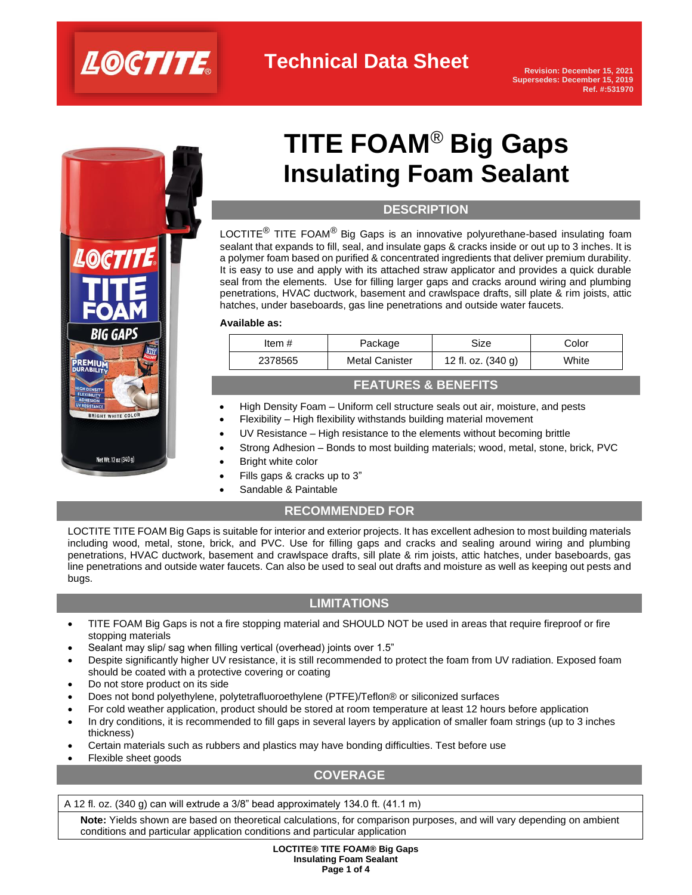

**Technical Data Sheet**

**Revision: December 15, 2021 Supersedes: December 15, 2019 Ref. #:531970**



# **TITE FOAM**® **Big Gaps Insulating Foam Sealant**

# **DESCRIPTION**

LOCTITE<sup>®</sup> TITE FOAM<sup>®</sup> Big Gaps is an innovative polyurethane-based insulating foam sealant that expands to fill, seal, and insulate gaps & cracks inside or out up to 3 inches. It is a polymer foam based on purified & concentrated ingredients that deliver premium durability. It is easy to use and apply with its attached straw applicator and provides a quick durable seal from the elements. Use for filling larger gaps and cracks around wiring and plumbing penetrations, HVAC ductwork, basement and crawlspace drafts, sill plate & rim joists, attic hatches, under baseboards, gas line penetrations and outside water faucets.

### **Available as:**

| Item #  | Package               | Size               | Color |
|---------|-----------------------|--------------------|-------|
| 2378565 | <b>Metal Canister</b> | 12 fl. oz. (340 g) | White |
|         |                       |                    |       |

## **FEATURES & BENEFITS**

- High Density Foam Uniform cell structure seals out air, moisture, and pests
- Flexibility High flexibility withstands building material movement
- UV Resistance High resistance to the elements without becoming brittle
- Strong Adhesion Bonds to most building materials; wood, metal, stone, brick, PVC
- **Bright white color**
- Fills gaps & cracks up to 3"
- Sandable & Paintable

# **RECOMMENDED FOR**

LOCTITE TITE FOAM Big Gaps is suitable for interior and exterior projects. It has excellent adhesion to most building materials including wood, metal, stone, brick, and PVC. Use for filling gaps and cracks and sealing around wiring and plumbing penetrations, HVAC ductwork, basement and crawlspace drafts, sill plate & rim joists, attic hatches, under baseboards, gas line penetrations and outside water faucets. Can also be used to seal out drafts and moisture as well as keeping out pests and bugs.

# **LIMITATIONS**

- TITE FOAM Big Gaps is not a fire stopping material and SHOULD NOT be used in areas that require fireproof or fire stopping materials
- Sealant may slip/ sag when filling vertical (overhead) joints over 1.5"
- Despite significantly higher UV resistance, it is still recommended to protect the foam from UV radiation. Exposed foam should be coated with a protective covering or coating
- Do not store product on its side
- Does not bond polyethylene, polytetrafluoroethylene (PTFE)/Teflon® or siliconized surfaces
- For cold weather application, product should be stored at room temperature at least 12 hours before application
- In dry conditions, it is recommended to fill gaps in several layers by application of smaller foam strings (up to 3 inches thickness)
- Certain materials such as rubbers and plastics may have bonding difficulties. Test before use
- Flexible sheet goods

# **COVERAGE**

A 12 fl. oz. (340 g) can will extrude a 3/8" bead approximately 134.0 ft. (41.1 m)

**Note:** Yields shown are based on theoretical calculations, for comparison purposes, and will vary depending on ambient conditions and particular application conditions and particular application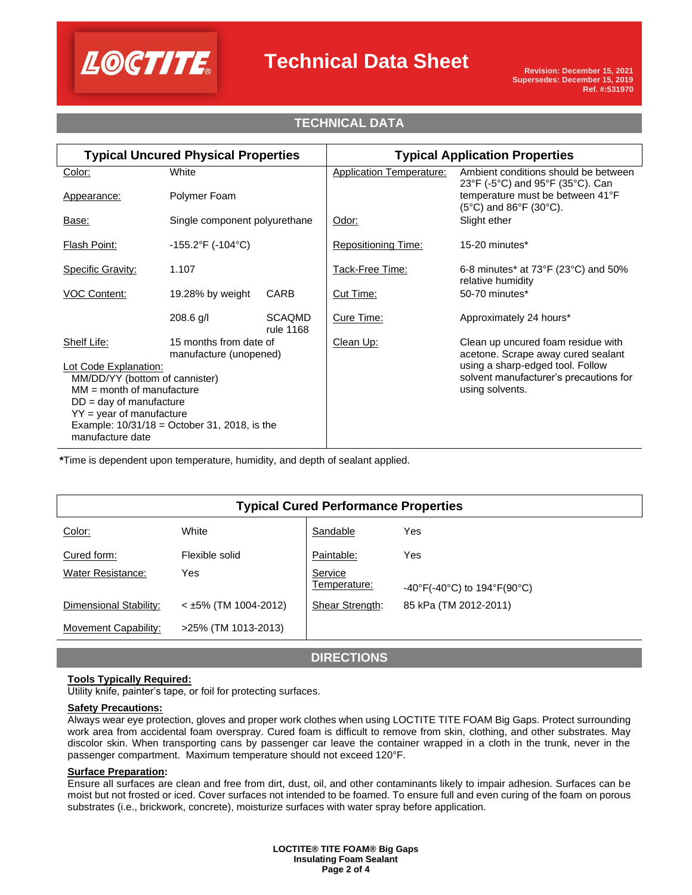

# **Technical Data Sheet**

# **TECHNICAL DATA**

| <b>Typical Uncured Physical Properties</b>                                                       |                                                  | <b>Typical Application Properties</b> |                                                           |                                                                                         |
|--------------------------------------------------------------------------------------------------|--------------------------------------------------|---------------------------------------|-----------------------------------------------------------|-----------------------------------------------------------------------------------------|
| Color:                                                                                           | White                                            |                                       | <b>Application Temperature:</b>                           | Ambient conditions should be between<br>23°F (-5°C) and 95°F (35°C). Can                |
| Appearance:                                                                                      | Polymer Foam                                     |                                       |                                                           | temperature must be between 41°F<br>$(5^{\circ}C)$ and $86^{\circ}F$ (30 $^{\circ}C$ ). |
| Base:                                                                                            | Single component polyurethane                    |                                       | Odor:                                                     | Slight ether                                                                            |
| <b>Flash Point:</b>                                                                              | $-155.2^{\circ}F( -104^{\circ}C)$                |                                       | <b>Repositioning Time:</b>                                | 15-20 minutes*                                                                          |
| <b>Specific Gravity:</b>                                                                         | 1.107                                            |                                       | Tack-Free Time:                                           | 6-8 minutes* at $73^{\circ}F(23^{\circ}C)$ and $50\%$<br>relative humidity              |
| <b>VOC Content:</b>                                                                              | 19.28% by weight                                 | CARB                                  | Cut Time:                                                 | 50-70 minutes*                                                                          |
|                                                                                                  | 208.6 g/l                                        | <b>SCAQMD</b><br>rule 1168            | Cure Time:                                                | Approximately 24 hours*                                                                 |
| Shelf Life:                                                                                      | 15 months from date of<br>manufacture (unopened) |                                       | Clean Up:                                                 | Clean up uncured foam residue with<br>acetone. Scrape away cured sealant                |
| Lot Code Explanation:                                                                            |                                                  |                                       | using a sharp-edged tool. Follow                          |                                                                                         |
| MM/DD/YY (bottom of cannister)                                                                   |                                                  |                                       | solvent manufacturer's precautions for<br>using solvents. |                                                                                         |
| $MM = month of manufacture$<br>$DD = day$ of manufacture                                         |                                                  |                                       |                                                           |                                                                                         |
| $YY = year$ of manufacture<br>Example: $10/31/18 =$ October 31, 2018, is the<br>manufacture date |                                                  |                                       |                                                           |                                                                                         |
|                                                                                                  |                                                  |                                       |                                                           |                                                                                         |

**\***Time is dependent upon temperature, humidity, and depth of sealant applied.

| <b>Typical Cured Performance Properties</b> |                        |                         |                                                                        |  |  |  |  |
|---------------------------------------------|------------------------|-------------------------|------------------------------------------------------------------------|--|--|--|--|
| Color:                                      | White                  | Sandable                | Yes                                                                    |  |  |  |  |
| Cured form:                                 | Flexible solid         | Paintable:              | Yes                                                                    |  |  |  |  |
| <b>Water Resistance:</b>                    | Yes                    | Service<br>Temperature: | $-40^{\circ}$ F(-40 $^{\circ}$ C) to 194 $^{\circ}$ F(90 $^{\circ}$ C) |  |  |  |  |
| Dimensional Stability:                      | $<$ ±5% (TM 1004-2012) | <b>Shear Strength:</b>  | 85 kPa (TM 2012-2011)                                                  |  |  |  |  |
| Movement Capability:                        | >25% (TM 1013-2013)    |                         |                                                                        |  |  |  |  |

## **DIRECTIONS**

### **Tools Typically Required:**

Utility knife, painter's tape, or foil for protecting surfaces.

### **Safety Precautions:**

Always wear eye protection, gloves and proper work clothes when using LOCTITE TITE FOAM Big Gaps. Protect surrounding work area from accidental foam overspray. Cured foam is difficult to remove from skin, clothing, and other substrates. May discolor skin. When transporting cans by passenger car leave the container wrapped in a cloth in the trunk, never in the passenger compartment. Maximum temperature should not exceed 120°F.

### **Surface Preparation:**

Ensure all surfaces are clean and free from dirt, dust, oil, and other contaminants likely to impair adhesion. Surfaces can be moist but not frosted or iced. Cover surfaces not intended to be foamed. To ensure full and even curing of the foam on porous substrates (i.e., brickwork, concrete), moisturize surfaces with water spray before application.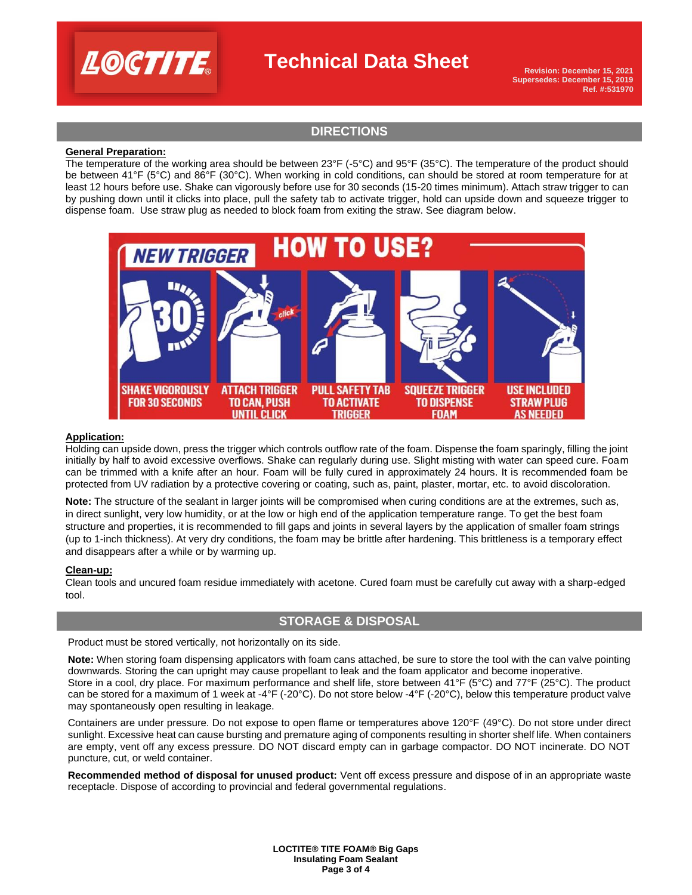

# **Technical Data Sheet**

**Revision: December 15, 2021 Supersedes: December 15, 2019 Ref. #:531970**

# **DIRECTIONS**

### **General Preparation:**

The temperature of the working area should be between 23°F (-5°C) and 95°F (35°C). The temperature of the product should be between 41°F (5°C) and 86°F (30°C). When working in cold conditions, can should be stored at room temperature for at least 12 hours before use. Shake can vigorously before use for 30 seconds (15-20 times minimum). Attach straw trigger to can by pushing down until it clicks into place, pull the safety tab to activate trigger, hold can upside down and squeeze trigger to dispense foam. Use straw plug as needed to block foam from exiting the straw. See diagram below.



#### **Application:**

Holding can upside down, press the trigger which controls outflow rate of the foam. Dispense the foam sparingly, filling the joint initially by half to avoid excessive overflows. Shake can regularly during use. Slight misting with water can speed cure. Foam can be trimmed with a knife after an hour. Foam will be fully cured in approximately 24 hours. It is recommended foam be protected from UV radiation by a protective covering or coating, such as, paint, plaster, mortar, etc. to avoid discoloration.

**Note:** The structure of the sealant in larger joints will be compromised when curing conditions are at the extremes, such as, in direct sunlight, very low humidity, or at the low or high end of the application temperature range. To get the best foam structure and properties, it is recommended to fill gaps and joints in several layers by the application of smaller foam strings (up to 1-inch thickness). At very dry conditions, the foam may be brittle after hardening. This brittleness is a temporary effect and disappears after a while or by warming up.

#### **Clean-up:**

Clean tools and uncured foam residue immediately with acetone. Cured foam must be carefully cut away with a sharp-edged tool.

## **STORAGE & DISPOSAL**

Product must be stored vertically, not horizontally on its side.

**Note:** When storing foam dispensing applicators with foam cans attached, be sure to store the tool with the can valve pointing downwards. Storing the can upright may cause propellant to leak and the foam applicator and become inoperative. Store in a cool, dry place. For maximum performance and shelf life, store between 41°F (5°C) and 77°F (25°C). The product can be stored for a maximum of 1 week at -4°F (-20°C). Do not store below -4°F (-20°C), below this temperature product valve may spontaneously open resulting in leakage.

Containers are under pressure. Do not expose to open flame or temperatures above 120°F (49°C). Do not store under direct sunlight. Excessive heat can cause bursting and premature aging of components resulting in shorter shelf life. When containers are empty, vent off any excess pressure. DO NOT discard empty can in garbage compactor. DO NOT incinerate. DO NOT puncture, cut, or weld container.

**Recommended method of disposal for unused product:** Vent off excess pressure and dispose of in an appropriate waste receptacle. Dispose of according to provincial and federal governmental regulations.